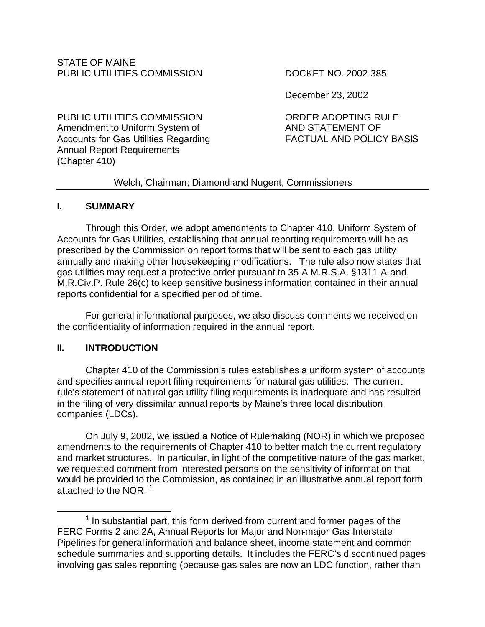Annual Report Requirements

December 23, 2002

PUBLIC UTILITIES COMMISSION ORDER ADOPTING RULE Amendment to Uniform System of AND STATEMENT OF Accounts for Gas Utilities Regarding FACTUAL AND POLICY BASIS

# Welch, Chairman; Diamond and Nugent, Commissioners

### **I. SUMMARY**

(Chapter 410)

Through this Order, we adopt amendments to Chapter 410, Uniform System of Accounts for Gas Utilities, establishing that annual reporting requirements will be as prescribed by the Commission on report forms that will be sent to each gas utility annually and making other housekeeping modifications. The rule also now states that gas utilities may request a protective order pursuant to 35-A M.R.S.A. §1311-A and M.R.Civ.P. Rule 26(c) to keep sensitive business information contained in their annual reports confidential for a specified period of time.

For general informational purposes, we also discuss comments we received on the confidentiality of information required in the annual report.

# **II. INTRODUCTION**

Chapter 410 of the Commission's rules establishes a uniform system of accounts and specifies annual report filing requirements for natural gas utilities. The current rule's statement of natural gas utility filing requirements is inadequate and has resulted in the filing of very dissimilar annual reports by Maine's three local distribution companies (LDCs).

On July 9, 2002, we issued a Notice of Rulemaking (NOR) in which we proposed amendments to the requirements of Chapter 410 to better match the current regulatory and market structures. In particular, in light of the competitive nature of the gas market, we requested comment from interested persons on the sensitivity of information that would be provided to the Commission, as contained in an illustrative annual report form attached to the NOR.  $1$ 

 $\overline{a}$  $<sup>1</sup>$  In substantial part, this form derived from current and former pages of the</sup> FERC Forms 2 and 2A, Annual Reports for Major and Non-major Gas Interstate Pipelines for general information and balance sheet, income statement and common schedule summaries and supporting details. It includes the FERC's discontinued pages involving gas sales reporting (because gas sales are now an LDC function, rather than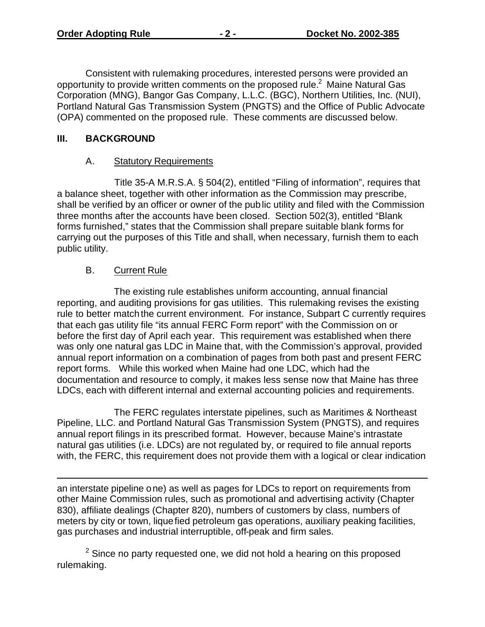Consistent with rulemaking procedures, interested persons were provided an opportunity to provide written comments on the proposed rule.<sup>2</sup> Maine Natural Gas Corporation (MNG), Bangor Gas Company, L.L.C. (BGC), Northern Utilities, Inc. (NUI), Portland Natural Gas Transmission System (PNGTS) and the Office of Public Advocate (OPA) commented on the proposed rule. These comments are discussed below.

## **III. BACKGROUND**

# A. Statutory Requirements

 Title 35-A M.R.S.A. § 504(2), entitled "Filing of information", requires that a balance sheet, together with other information as the Commission may prescribe, shall be verified by an officer or owner of the public utility and filed with the Commission three months after the accounts have been closed. Section 502(3), entitled "Blank forms furnished," states that the Commission shall prepare suitable blank forms for carrying out the purposes of this Title and shall, when necessary, furnish them to each public utility.

# B. Current Rule

 $\overline{a}$ 

The existing rule establishes uniform accounting, annual financial reporting, and auditing provisions for gas utilities. This rulemaking revises the existing rule to better match the current environment. For instance, Subpart C currently requires that each gas utility file "its annual FERC Form report" with the Commission on or before the first day of April each year. This requirement was established when there was only one natural gas LDC in Maine that, with the Commission's approval, provided annual report information on a combination of pages from both past and present FERC report forms. While this worked when Maine had one LDC, which had the documentation and resource to comply, it makes less sense now that Maine has three LDCs, each with different internal and external accounting policies and requirements.

The FERC regulates interstate pipelines, such as Maritimes & Northeast Pipeline, LLC. and Portland Natural Gas Transmission System (PNGTS), and requires annual report filings in its prescribed format. However, because Maine's intrastate natural gas utilities (i.e. LDCs) are not regulated by, or required to file annual reports with, the FERC, this requirement does not provide them with a logical or clear indication

an interstate pipeline one) as well as pages for LDCs to report on requirements from other Maine Commission rules, such as promotional and advertising activity (Chapter 830), affiliate dealings (Chapter 820), numbers of customers by class, numbers of meters by city or town, liquefied petroleum gas operations, auxiliary peaking facilities, gas purchases and industrial interruptible, off-peak and firm sales.

 $2$  Since no party requested one, we did not hold a hearing on this proposed rulemaking.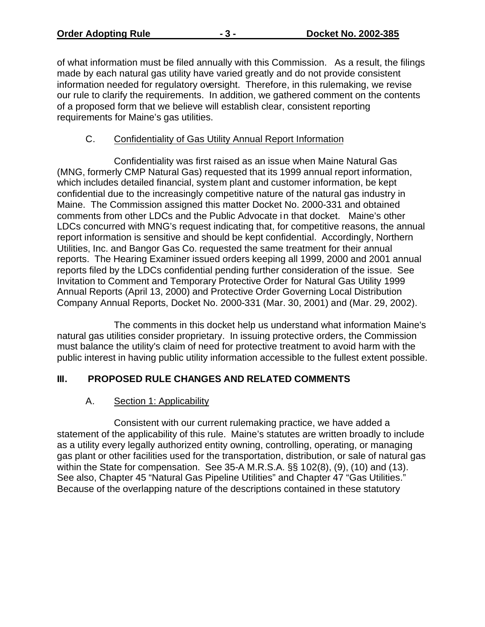of what information must be filed annually with this Commission. As a result, the filings made by each natural gas utility have varied greatly and do not provide consistent information needed for regulatory oversight. Therefore, in this rulemaking, we revise our rule to clarify the requirements. In addition, we gathered comment on the contents of a proposed form that we believe will establish clear, consistent reporting requirements for Maine's gas utilities.

## C. Confidentiality of Gas Utility Annual Report Information

Confidentiality was first raised as an issue when Maine Natural Gas (MNG, formerly CMP Natural Gas) requested that its 1999 annual report information, which includes detailed financial, system plant and customer information, be kept confidential due to the increasingly competitive nature of the natural gas industry in Maine. The Commission assigned this matter Docket No. 2000-331 and obtained comments from other LDCs and the Public Advocate in that docket. Maine's other LDCs concurred with MNG's request indicating that, for competitive reasons, the annual report information is sensitive and should be kept confidential. Accordingly, Northern Utilities, Inc. and Bangor Gas Co. requested the same treatment for their annual reports. The Hearing Examiner issued orders keeping all 1999, 2000 and 2001 annual reports filed by the LDCs confidential pending further consideration of the issue. See Invitation to Comment and Temporary Protective Order for Natural Gas Utility 1999 Annual Reports (April 13, 2000) and Protective Order Governing Local Distribution Company Annual Reports, Docket No. 2000-331 (Mar. 30, 2001) and (Mar. 29, 2002).

The comments in this docket help us understand what information Maine's natural gas utilities consider proprietary. In issuing protective orders, the Commission must balance the utility's claim of need for protective treatment to avoid harm with the public interest in having public utility information accessible to the fullest extent possible.

### **III. PROPOSED RULE CHANGES AND RELATED COMMENTS**

### A. Section 1: Applicability

Consistent with our current rulemaking practice, we have added a statement of the applicability of this rule. Maine's statutes are written broadly to include as a utility every legally authorized entity owning, controlling, operating, or managing gas plant or other facilities used for the transportation, distribution, or sale of natural gas within the State for compensation. See 35-A M.R.S.A. §§ 102(8), (9), (10) and (13). See also, Chapter 45 "Natural Gas Pipeline Utilities" and Chapter 47 "Gas Utilities." Because of the overlapping nature of the descriptions contained in these statutory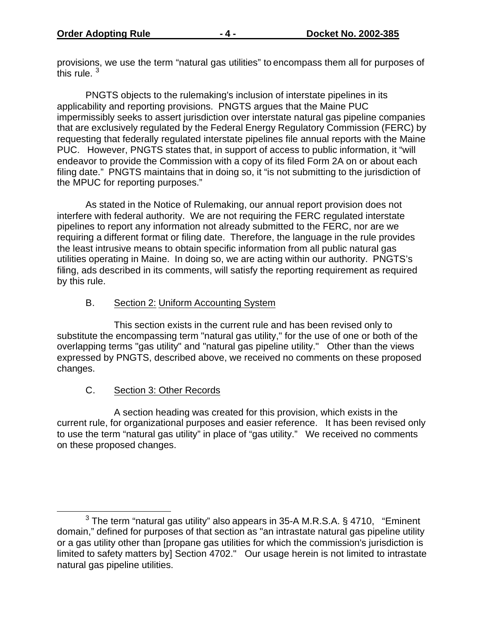provisions, we use the term "natural gas utilities" to encompass them all for purposes of this rule.  $\frac{3}{3}$ 

PNGTS objects to the rulemaking's inclusion of interstate pipelines in its applicability and reporting provisions. PNGTS argues that the Maine PUC impermissibly seeks to assert jurisdiction over interstate natural gas pipeline companies that are exclusively regulated by the Federal Energy Regulatory Commission (FERC) by requesting that federally regulated interstate pipelines file annual reports with the Maine PUC. However, PNGTS states that, in support of access to public information, it "will endeavor to provide the Commission with a copy of its filed Form 2A on or about each filing date." PNGTS maintains that in doing so, it "is not submitting to the jurisdiction of the MPUC for reporting purposes."

As stated in the Notice of Rulemaking, our annual report provision does not interfere with federal authority. We are not requiring the FERC regulated interstate pipelines to report any information not already submitted to the FERC, nor are we requiring a different format or filing date. Therefore, the language in the rule provides the least intrusive means to obtain specific information from all public natural gas utilities operating in Maine. In doing so, we are acting within our authority. PNGTS's filing, ads described in its comments, will satisfy the reporting requirement as required by this rule.

### B. Section 2: Uniform Accounting System

This section exists in the current rule and has been revised only to substitute the encompassing term "natural gas utility," for the use of one or both of the overlapping terms "gas utility" and "natural gas pipeline utility." Other than the views expressed by PNGTS, described above, we received no comments on these proposed changes.

### C. Section 3: Other Records

 $\overline{a}$ 

A section heading was created for this provision, which exists in the current rule, for organizational purposes and easier reference. It has been revised only to use the term "natural gas utility" in place of "gas utility." We received no comments on these proposed changes.

 $3$  The term "natural gas utility" also appears in 35-A M.R.S.A.  $\S$  4710, "Eminent domain," defined for purposes of that section as "an intrastate natural gas pipeline utility or a gas utility other than [propane gas utilities for which the commission's jurisdiction is limited to safety matters by] Section 4702." Our usage herein is not limited to intrastate natural gas pipeline utilities.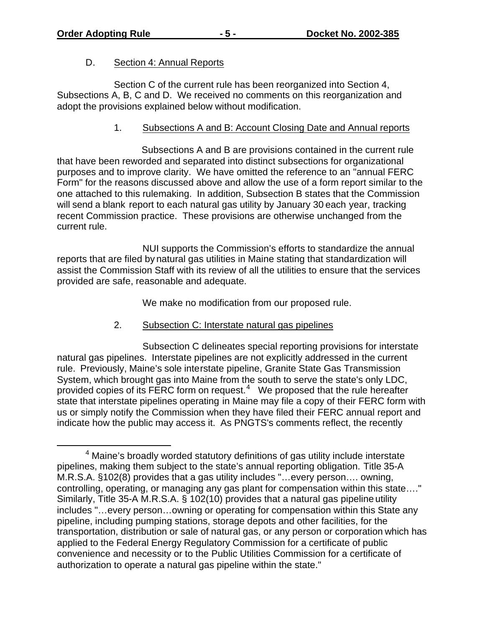$\overline{a}$ 

#### D. Section 4: Annual Reports

Section C of the current rule has been reorganized into Section 4, Subsections A, B, C and D. We received no comments on this reorganization and adopt the provisions explained below without modification.

### 1. Subsections A and B: Account Closing Date and Annual reports

 Subsections A and B are provisions contained in the current rule that have been reworded and separated into distinct subsections for organizational purposes and to improve clarity. We have omitted the reference to an "annual FERC Form" for the reasons discussed above and allow the use of a form report similar to the one attached to this rulemaking. In addition, Subsection B states that the Commission will send a blank report to each natural gas utility by January 30 each year, tracking recent Commission practice. These provisions are otherwise unchanged from the current rule.

NUI supports the Commission's efforts to standardize the annual reports that are filed by natural gas utilities in Maine stating that standardization will assist the Commission Staff with its review of all the utilities to ensure that the services provided are safe, reasonable and adequate.

We make no modification from our proposed rule.

### 2. Subsection C: Interstate natural gas pipelines

 Subsection C delineates special reporting provisions for interstate natural gas pipelines. Interstate pipelines are not explicitly addressed in the current rule. Previously, Maine's sole interstate pipeline, Granite State Gas Transmission System, which brought gas into Maine from the south to serve the state's only LDC. provided copies of its FERC form on request. $4$  We proposed that the rule hereafter state that interstate pipelines operating in Maine may file a copy of their FERC form with us or simply notify the Commission when they have filed their FERC annual report and indicate how the public may access it. As PNGTS's comments reflect, the recently

<sup>&</sup>lt;sup>4</sup> Maine's broadly worded statutory definitions of gas utility include interstate pipelines, making them subject to the state's annual reporting obligation. Title 35-A M.R.S.A. §102(8) provides that a gas utility includes "…every person…. owning, controlling, operating, or managing any gas plant for compensation within this state…." Similarly, Title 35-A M.R.S.A. § 102(10) provides that a natural gas pipeline utility includes "…every person…owning or operating for compensation within this State any pipeline, including pumping stations, storage depots and other facilities, for the transportation, distribution or sale of natural gas, or any person or corporation which has applied to the Federal Energy Regulatory Commission for a certificate of public convenience and necessity or to the Public Utilities Commission for a certificate of authorization to operate a natural gas pipeline within the state."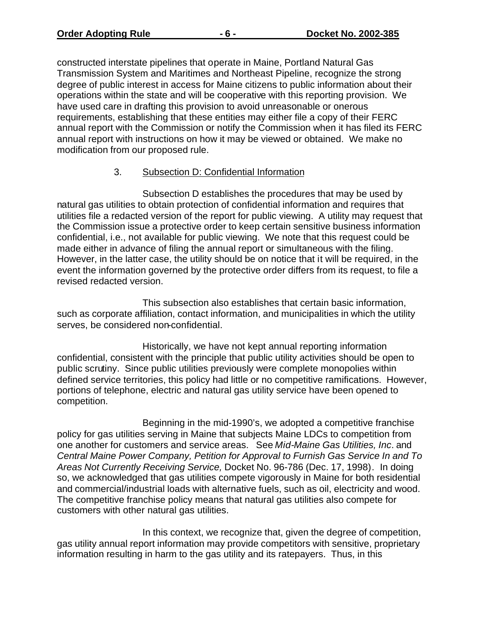constructed interstate pipelines that operate in Maine, Portland Natural Gas Transmission System and Maritimes and Northeast Pipeline, recognize the strong degree of public interest in access for Maine citizens to public information about their operations within the state and will be cooperative with this reporting provision. We have used care in drafting this provision to avoid unreasonable or onerous requirements, establishing that these entities may either file a copy of their FERC annual report with the Commission or notify the Commission when it has filed its FERC annual report with instructions on how it may be viewed or obtained. We make no modification from our proposed rule.

### 3. Subsection D: Confidential Information

Subsection D establishes the procedures that may be used by natural gas utilities to obtain protection of confidential information and requires that utilities file a redacted version of the report for public viewing. A utility may request that the Commission issue a protective order to keep certain sensitive business information confidential, i.e., not available for public viewing. We note that this request could be made either in advance of filing the annual report or simultaneous with the filing. However, in the latter case, the utility should be on notice that it will be required, in the event the information governed by the protective order differs from its request, to file a revised redacted version.

This subsection also establishes that certain basic information, such as corporate affiliation, contact information, and municipalities in which the utility serves, be considered non-confidential.

Historically, we have not kept annual reporting information confidential, consistent with the principle that public utility activities should be open to public scrutiny. Since public utilities previously were complete monopolies within defined service territories, this policy had little or no competitive ramifications. However, portions of telephone, electric and natural gas utility service have been opened to competition.

Beginning in the mid-1990's, we adopted a competitive franchise policy for gas utilities serving in Maine that subjects Maine LDCs to competition from one another for customers and service areas. See *Mid-Maine Gas Utilities, Inc*. and *Central Maine Power Company, Petition for Approval to Furnish Gas Service In and To Areas Not Currently Receiving Service,* Docket No. 96-786 (Dec. 17, 1998). In doing so, we acknowledged that gas utilities compete vigorously in Maine for both residential and commercial/industrial loads with alternative fuels, such as oil, electricity and wood. The competitive franchise policy means that natural gas utilities also compete for customers with other natural gas utilities.

In this context, we recognize that, given the degree of competition, gas utility annual report information may provide competitors with sensitive, proprietary information resulting in harm to the gas utility and its ratepayers. Thus, in this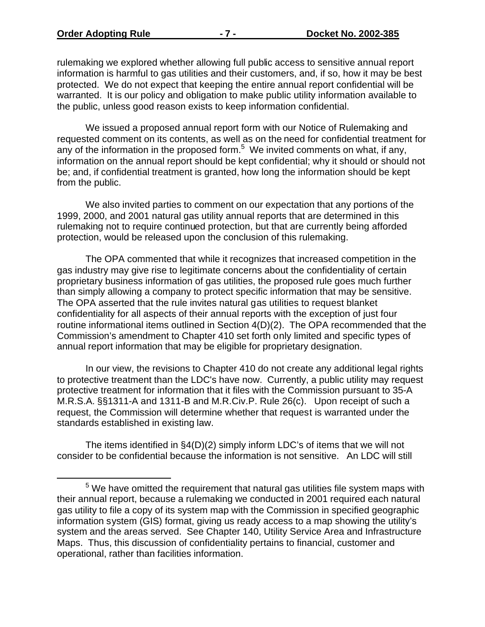$\overline{a}$ 

rulemaking we explored whether allowing full public access to sensitive annual report information is harmful to gas utilities and their customers, and, if so, how it may be best protected. We do not expect that keeping the entire annual report confidential will be warranted. It is our policy and obligation to make public utility information available to the public, unless good reason exists to keep information confidential.

We issued a proposed annual report form with our Notice of Rulemaking and requested comment on its contents, as well as on the need for confidential treatment for any of the information in the proposed form.<sup>5</sup> We invited comments on what, if any, information on the annual report should be kept confidential; why it should or should not be; and, if confidential treatment is granted, how long the information should be kept from the public.

We also invited parties to comment on our expectation that any portions of the 1999, 2000, and 2001 natural gas utility annual reports that are determined in this rulemaking not to require continued protection, but that are currently being afforded protection, would be released upon the conclusion of this rulemaking.

The OPA commented that while it recognizes that increased competition in the gas industry may give rise to legitimate concerns about the confidentiality of certain proprietary business information of gas utilities, the proposed rule goes much further than simply allowing a company to protect specific information that may be sensitive. The OPA asserted that the rule invites natural gas utilities to request blanket confidentiality for all aspects of their annual reports with the exception of just four routine informational items outlined in Section 4(D)(2). The OPA recommended that the Commission's amendment to Chapter 410 set forth only limited and specific types of annual report information that may be eligible for proprietary designation.

In our view, the revisions to Chapter 410 do not create any additional legal rights to protective treatment than the LDC's have now. Currently, a public utility may request protective treatment for information that it files with the Commission pursuant to 35-A M.R.S.A. §§1311-A and 1311-B and M.R.Civ.P. Rule 26(c). Upon receipt of such a request, the Commission will determine whether that request is warranted under the standards established in existing law.

The items identified in §4(D)(2) simply inform LDC's of items that we will not consider to be confidential because the information is not sensitive. An LDC will still

 $5$  We have omitted the requirement that natural gas utilities file system maps with their annual report, because a rulemaking we conducted in 2001 required each natural gas utility to file a copy of its system map with the Commission in specified geographic information system (GIS) format, giving us ready access to a map showing the utility's system and the areas served. See Chapter 140, Utility Service Area and Infrastructure Maps. Thus, this discussion of confidentiality pertains to financial, customer and operational, rather than facilities information.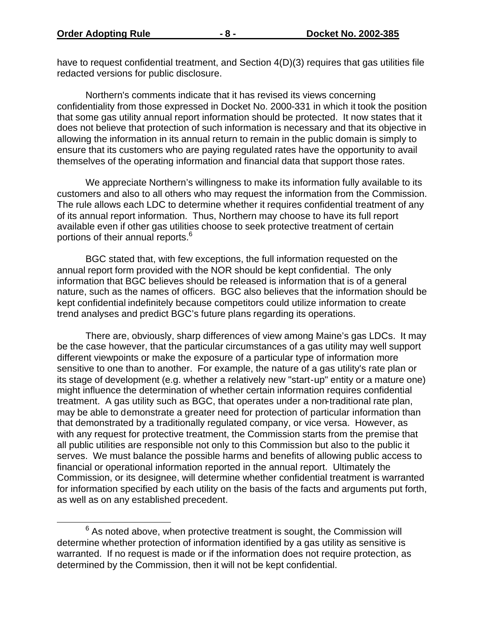$\overline{a}$ 

have to request confidential treatment, and Section 4(D)(3) requires that gas utilities file redacted versions for public disclosure.

Northern's comments indicate that it has revised its views concerning confidentiality from those expressed in Docket No. 2000-331 in which it took the position that some gas utility annual report information should be protected. It now states that it does not believe that protection of such information is necessary and that its objective in allowing the information in its annual return to remain in the public domain is simply to ensure that its customers who are paying regulated rates have the opportunity to avail themselves of the operating information and financial data that support those rates.

We appreciate Northern's willingness to make its information fully available to its customers and also to all others who may request the information from the Commission. The rule allows each LDC to determine whether it requires confidential treatment of any of its annual report information. Thus, Northern may choose to have its full report available even if other gas utilities choose to seek protective treatment of certain portions of their annual reports.<sup>6</sup>

BGC stated that, with few exceptions, the full information requested on the annual report form provided with the NOR should be kept confidential. The only information that BGC believes should be released is information that is of a general nature, such as the names of officers. BGC also believes that the information should be kept confidential indefinitely because competitors could utilize information to create trend analyses and predict BGC's future plans regarding its operations.

There are, obviously, sharp differences of view among Maine's gas LDCs. It may be the case however, that the particular circumstances of a gas utility may well support different viewpoints or make the exposure of a particular type of information more sensitive to one than to another. For example, the nature of a gas utility's rate plan or its stage of development (e.g. whether a relatively new "start-up" entity or a mature one) might influence the determination of whether certain information requires confidential treatment. A gas utility such as BGC, that operates under a non-traditional rate plan, may be able to demonstrate a greater need for protection of particular information than that demonstrated by a traditionally regulated company, or vice versa. However, as with any request for protective treatment, the Commission starts from the premise that all public utilities are responsible not only to this Commission but also to the public it serves. We must balance the possible harms and benefits of allowing public access to financial or operational information reported in the annual report. Ultimately the Commission, or its designee, will determine whether confidential treatment is warranted for information specified by each utility on the basis of the facts and arguments put forth, as well as on any established precedent.

 $6$  As noted above, when protective treatment is sought, the Commission will determine whether protection of information identified by a gas utility as sensitive is warranted. If no request is made or if the information does not require protection, as determined by the Commission, then it will not be kept confidential.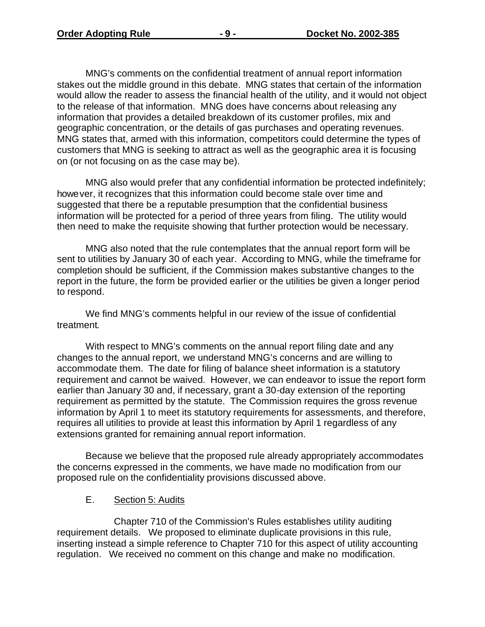MNG's comments on the confidential treatment of annual report information stakes out the middle ground in this debate. MNG states that certain of the information would allow the reader to assess the financial health of the utility, and it would not object to the release of that information. MNG does have concerns about releasing any information that provides a detailed breakdown of its customer profiles, mix and geographic concentration, or the details of gas purchases and operating revenues. MNG states that, armed with this information, competitors could determine the types of customers that MNG is seeking to attract as well as the geographic area it is focusing on (or not focusing on as the case may be).

MNG also would prefer that any confidential information be protected indefinitely; however, it recognizes that this information could become stale over time and suggested that there be a reputable presumption that the confidential business information will be protected for a period of three years from filing. The utility would then need to make the requisite showing that further protection would be necessary.

MNG also noted that the rule contemplates that the annual report form will be sent to utilities by January 30 of each year. According to MNG, while the timeframe for completion should be sufficient, if the Commission makes substantive changes to the report in the future, the form be provided earlier or the utilities be given a longer period to respond.

We find MNG's comments helpful in our review of the issue of confidential treatment.

With respect to MNG's comments on the annual report filing date and any changes to the annual report, we understand MNG's concerns and are willing to accommodate them. The date for filing of balance sheet information is a statutory requirement and cannot be waived. However, we can endeavor to issue the report form earlier than January 30 and, if necessary, grant a 30-day extension of the reporting requirement as permitted by the statute. The Commission requires the gross revenue information by April 1 to meet its statutory requirements for assessments, and therefore, requires all utilities to provide at least this information by April 1 regardless of any extensions granted for remaining annual report information.

Because we believe that the proposed rule already appropriately accommodates the concerns expressed in the comments, we have made no modification from our proposed rule on the confidentiality provisions discussed above.

#### E. Section 5: Audits

Chapter 710 of the Commission's Rules establishes utility auditing requirement details. We proposed to eliminate duplicate provisions in this rule, inserting instead a simple reference to Chapter 710 for this aspect of utility accounting regulation. We received no comment on this change and make no modification.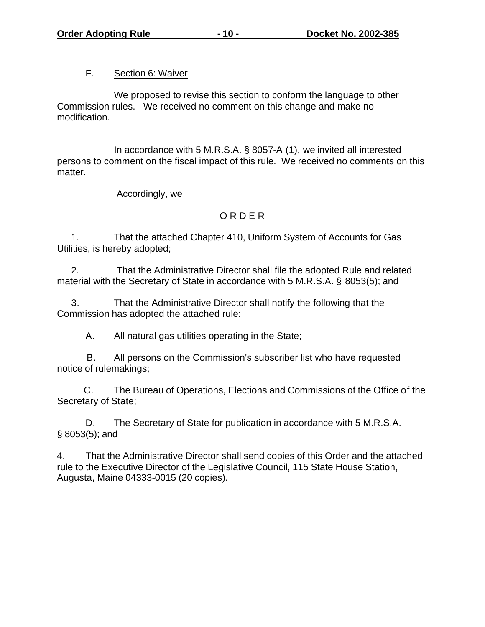#### F. Section 6: Waiver

We proposed to revise this section to conform the language to other Commission rules. We received no comment on this change and make no modification.

In accordance with 5 M.R.S.A. § 8057-A (1), we invited all interested persons to comment on the fiscal impact of this rule. We received no comments on this matter.

Accordingly, we

### O R D E R

1. That the attached Chapter 410, Uniform System of Accounts for Gas Utilities, is hereby adopted;

2. That the Administrative Director shall file the adopted Rule and related material with the Secretary of State in accordance with 5 M.R.S.A. § 8053(5); and

3. That the Administrative Director shall notify the following that the Commission has adopted the attached rule:

A. All natural gas utilities operating in the State;

 B. All persons on the Commission's subscriber list who have requested notice of rulemakings;

 C. The Bureau of Operations, Elections and Commissions of the Office of the Secretary of State;

D. The Secretary of State for publication in accordance with 5 M.R.S.A. § 8053(5); and

4. That the Administrative Director shall send copies of this Order and the attached rule to the Executive Director of the Legislative Council, 115 State House Station, Augusta, Maine 04333-0015 (20 copies).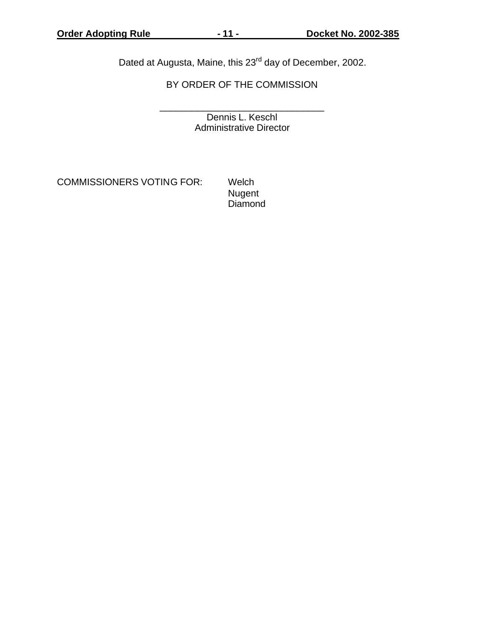Dated at Augusta, Maine, this 23<sup>rd</sup> day of December, 2002.

BY ORDER OF THE COMMISSION

\_\_\_\_\_\_\_\_\_\_\_\_\_\_\_\_\_\_\_\_\_\_\_\_\_\_\_\_\_\_\_ Dennis L. Keschl Administrative Director

COMMISSIONERS VOTING FOR: Welch

 Nugent Diamond